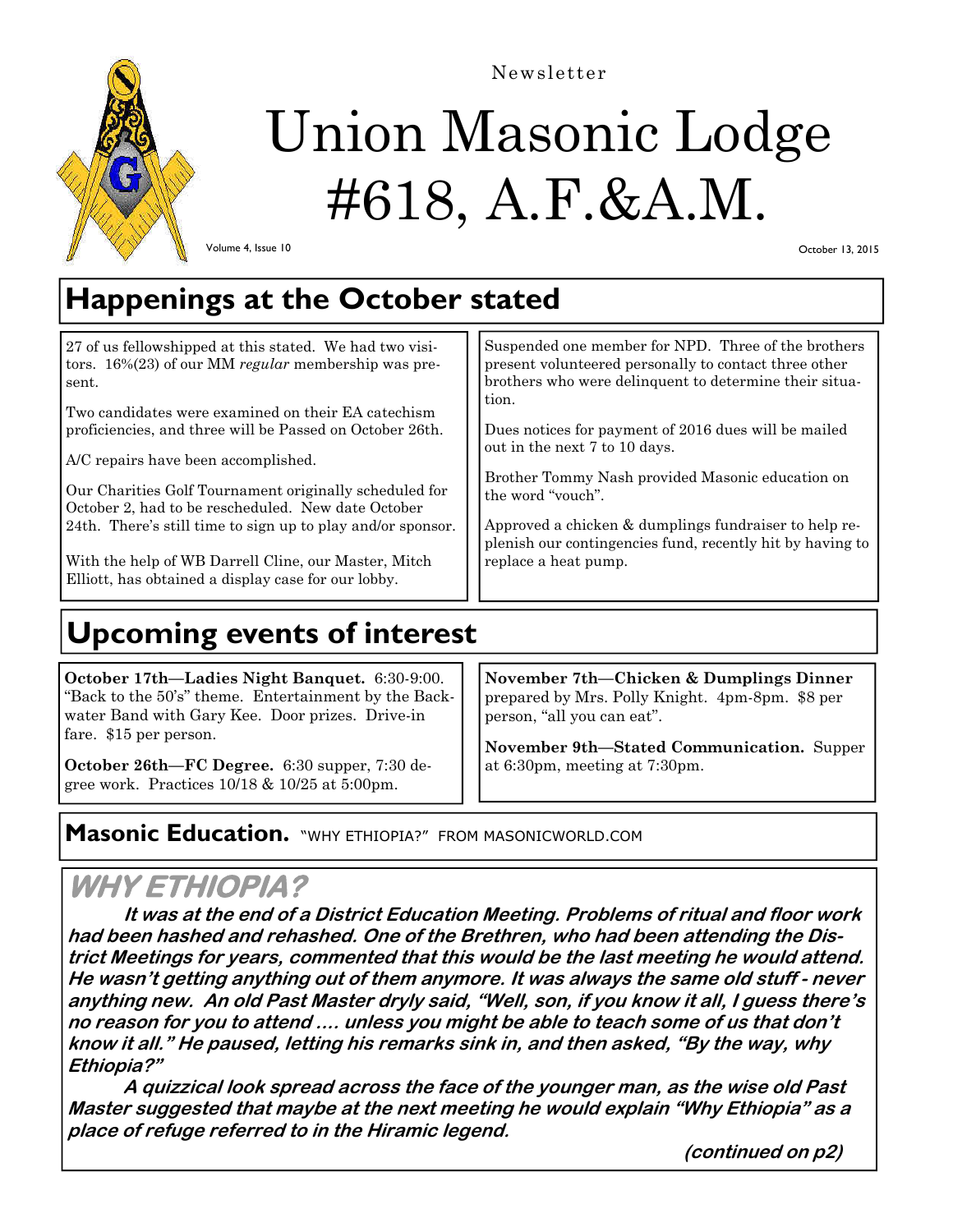

Newsletter

# Union Masonic Lodge #618, A.F.&A.M.

Volume 4, Issue 10

October 13, 2015

## **Happenings at the October stated**

| 27 of us fellowshipped at this stated. We had two visi-<br>tors. $16\%(23)$ of our MM regular membership was pre-<br>sent. | Suspended one member for NPD. Three of the brothers<br>present volunteered personally to contact three other<br>brothers who were delinquent to determine their situa- |
|----------------------------------------------------------------------------------------------------------------------------|------------------------------------------------------------------------------------------------------------------------------------------------------------------------|
| Two candidates were examined on their EA catechism                                                                         | tion.                                                                                                                                                                  |
| proficiencies, and three will be Passed on October 26th.                                                                   | Dues notices for payment of 2016 dues will be mailed                                                                                                                   |
| A/C repairs have been accomplished.                                                                                        | out in the next 7 to 10 days.                                                                                                                                          |
| Our Charities Golf Tournament originally scheduled for<br>October 2, had to be rescheduled. New date October               | Brother Tommy Nash provided Masonic education on<br>the word "vouch".                                                                                                  |
| 24th. There's still time to sign up to play and/or sponsor.                                                                | Approved a chicken & dumplings fundraiser to help re-<br>plenish our contingencies fund, recently hit by having to                                                     |
| With the help of WB Darrell Cline, our Master, Mitch<br>Elliott, has obtained a display case for our lobby.                | replace a heat pump.                                                                                                                                                   |

# **Upcoming events of interest**

**October 17th—Ladies Night Banquet.** 6:30-9:00. "Back to the 50's" theme. Entertainment by the Backwater Band with Gary Kee. Door prizes. Drive-in fare. \$15 per person.

**October 26th—FC Degree.** 6:30 supper, 7:30 degree work. Practices 10/18 & 10/25 at 5:00pm.

**November 7th—Chicken & Dumplings Dinner** prepared by Mrs. Polly Knight. 4pm-8pm. \$8 per person, "all you can eat".

**November 9th—Stated Communication.** Supper at 6:30pm, meeting at 7:30pm.

## **Masonic Education.** "WHY ETHIOPIA?" FROM MASONICWORLD.COM

## **WHY ETHIOPIA?**

 **It was at the end of a District Education Meeting. Problems of ritual and floor work had been hashed and rehashed. One of the Brethren, who had been attending the District Meetings for years, commented that this would be the last meeting he would attend. He wasn't getting anything out of them anymore. It was always the same old stuff - never anything new. An old Past Master dryly said, "Well, son, if you know it all, I guess there's no reason for you to attend .... unless you might be able to teach some of us that don't know it all." He paused, letting his remarks sink in, and then asked, "By the way, why Ethiopia?"** 

 **A quizzical look spread across the face of the younger man, as the wise old Past Master suggested that maybe at the next meeting he would explain "Why Ethiopia" as a place of refuge referred to in the Hiramic legend.** 

 **(continued on p2)**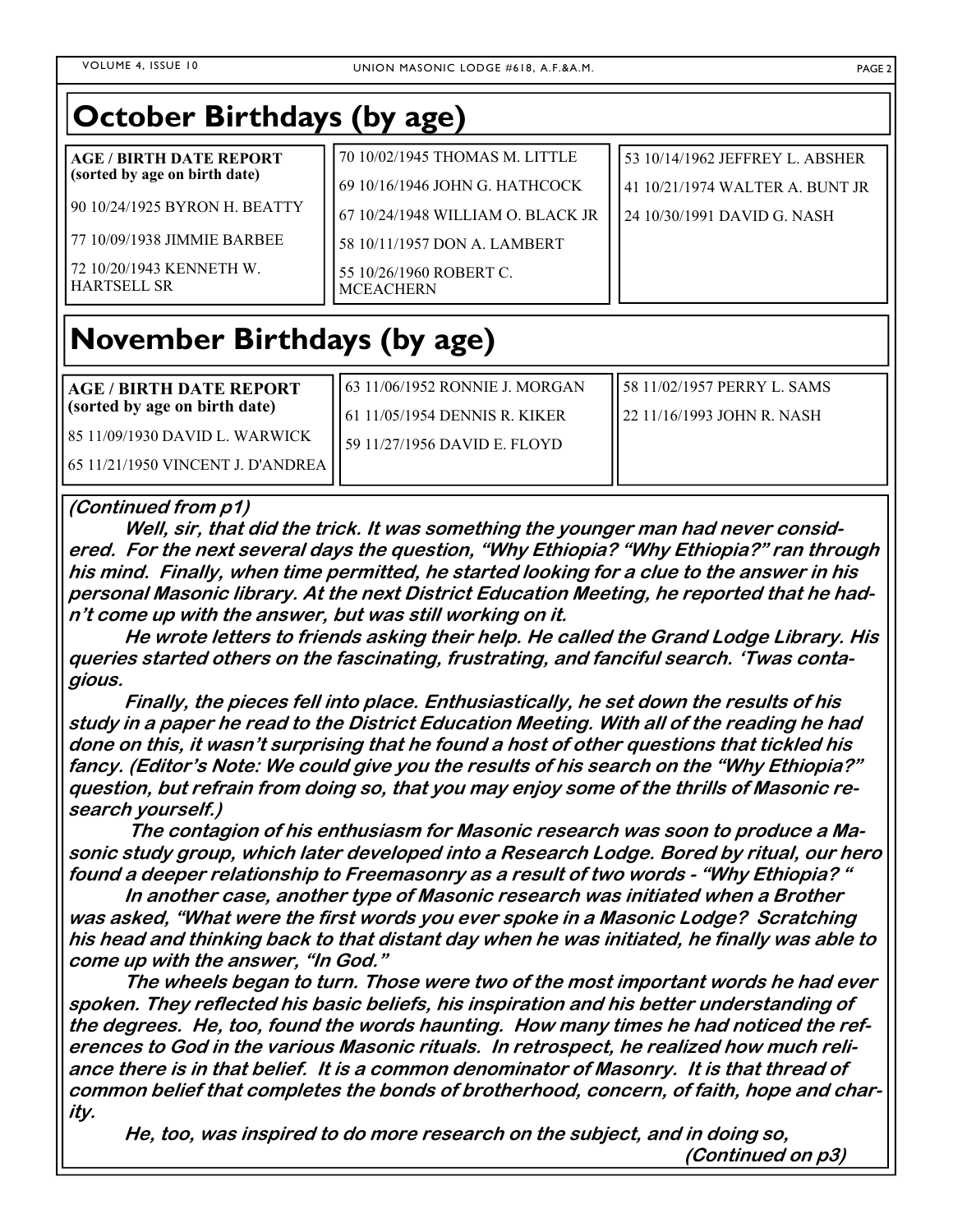| <b>October Birthdays (by age)</b>              |                                             |                                 |  |
|------------------------------------------------|---------------------------------------------|---------------------------------|--|
| <b>AGE / BIRTH DATE REPORT</b>                 | 70 10/02/1945 THOMAS M. LITTLE              | 53 10/14/1962 JEFFREY L. ABSHER |  |
| (sorted by age on birth date)                  | 69 10/16/1946 JOHN G. HATHCOCK              | 41 10/21/1974 WALTER A. BUNT JR |  |
| 90 10/24/1925 BYRON H. BEATTY                  | 67 10/24/1948 WILLIAM O. BLACK JR           | 24 10/30/1991 DAVID G. NASH     |  |
| 77 10/09/1938 JIMMIE BARBEE                    | 58 10/11/1957 DON A. LAMBERT                |                                 |  |
| 72 10/20/1943 KENNETH W.<br><b>HARTSELL SR</b> | 55 10/26/1960 ROBERT C.<br><b>MCEACHERN</b> |                                 |  |

## **November Birthdays (by age)**

| AGE / BIRTH DATE REPORT           | 63 11/06/1952 RONNIE J. MORGAN | 58 11/02/1957 PERRY L. SAMS   |
|-----------------------------------|--------------------------------|-------------------------------|
| (sorted by age on birth date)     | 61 11/05/1954 DENNIS R. KIKER  | ll 22 11/16/1993 JOHN R. NASH |
| 85 11/09/1930 DAVID L. WARWICK    | 59 11/27/1956 DAVID E. FLOYD   |                               |
| 65 11/21/1950 VINCENT J. D'ANDREA |                                |                               |

### **(Continued from p1)**

 **Well, sir, that did the trick. It was something the younger man had never considered. For the next several days the question, "Why Ethiopia? "Why Ethiopia?" ran through his mind. Finally, when time permitted, he started looking for a clue to the answer in his personal Masonic library. At the next District Education Meeting, he reported that he had<sup>n</sup>'t come up with the answer, but was still working on it.** 

 **He wrote letters to friends asking their help. He called the Grand Lodge Library. His queries started others on the fascinating, frustrating, and fanciful search. 'Twas contagious.** 

 **Finally, the pieces fell into place. Enthusiastically, he set down the results of his study in a paper he read to the District Education Meeting. With all of the reading he had done on this, it wasn't surprising that he found a host of other questions that tickled his fancy. (Editor's Note: We could give you the results of his search on the "Why Ethiopia?" question, but refrain from doing so, that you may enjoy some of the thrills of Masonic research yourself.)** 

 **The contagion of his enthusiasm for Masonic research was soon to produce a Masonic study group, which later developed into a Research Lodge. Bored by ritual, our hero found a deeper relationship to Freemasonry as a result of two words - "Why Ethiopia? "** 

 **In another case, another type of Masonic research was initiated when a Brother was asked, "What were the first words you ever spoke in a Masonic Lodge? Scratching his head and thinking back to that distant day when he was initiated, he finally was able to come up with the answer, "In God."** 

 **The wheels began to turn. Those were two of the most important words he had ever spoken. They reflected his basic beliefs, his inspiration and his better understanding of the degrees. He, too, found the words haunting. How many times he had noticed the references to God in the various Masonic rituals. In retrospect, he realized how much reliance there is in that belief. It is a common denominator of Masonry. It is that thread of common belief that completes the bonds of brotherhood, concern, of faith, hope and charity.** 

 **He, too, was inspired to do more research on the subject, and in doing so, (Continued on p3)**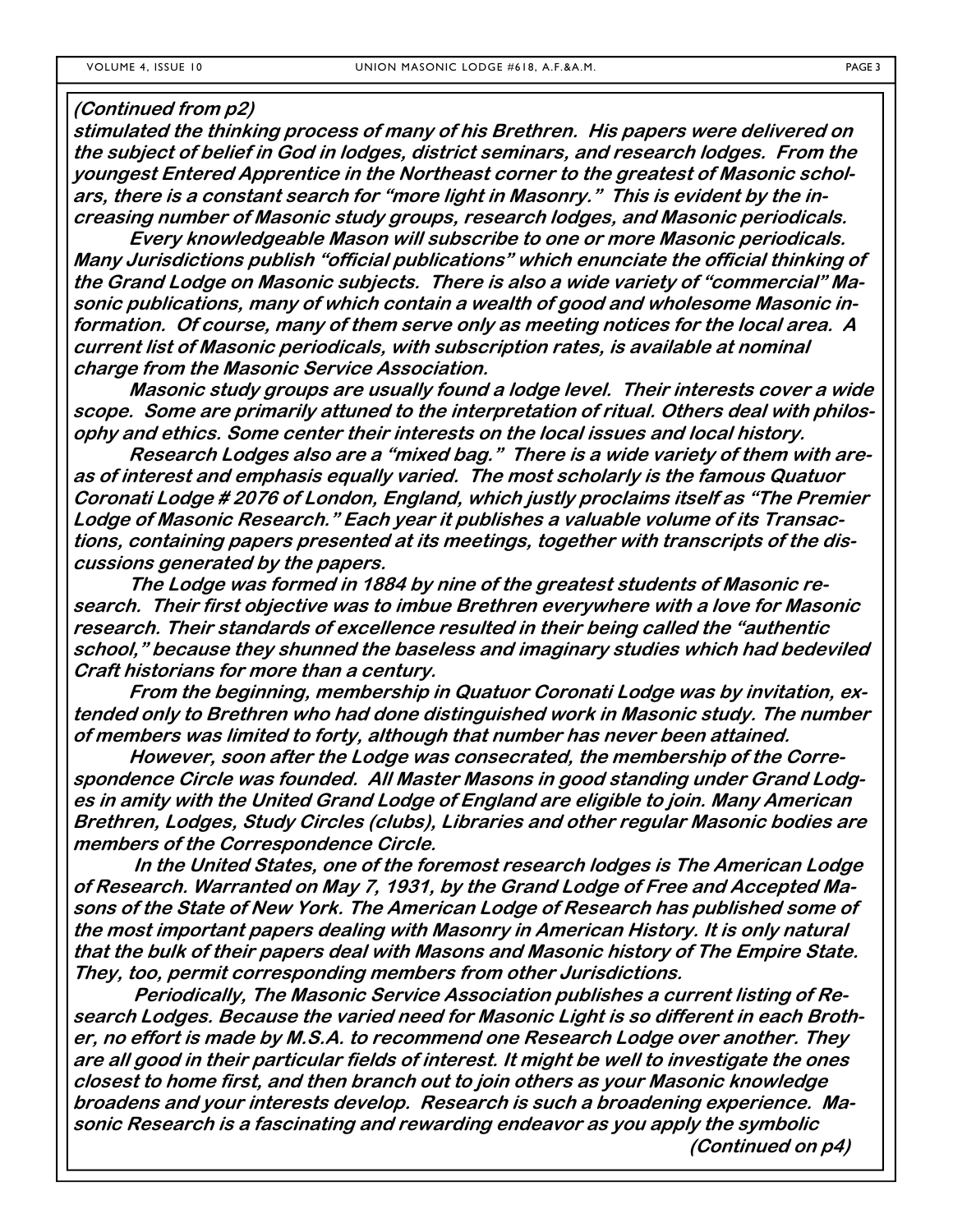#### **(Continued from p2)**

**stimulated the thinking process of many of his Brethren. His papers were delivered on the subject of belief in God in lodges, district seminars, and research lodges. From the youngest Entered Apprentice in the Northeast corner to the greatest of Masonic scholars, there is a constant search for "more light in Masonry." This is evident by the increasing number of Masonic study groups, research lodges, and Masonic periodicals.** 

 **Every knowledgeable Mason will subscribe to one or more Masonic periodicals. Many Jurisdictions publish "official publications" which enunciate the official thinking of the Grand Lodge on Masonic subjects. There is also a wide variety of "commercial" Masonic publications, many of which contain a wealth of good and wholesome Masonic information. Of course, many of them serve only as meeting notices for the local area. A current list of Masonic periodicals, with subscription rates, is available at nominal charge from the Masonic Service Association.** 

 **Masonic study groups are usually found a lodge level. Their interests cover a wide scope. Some are primarily attuned to the interpretation of ritual. Others deal with philosophy and ethics. Some center their interests on the local issues and local history.** 

 **Research Lodges also are a "mixed bag." There is a wide variety of them with areas of interest and emphasis equally varied. The most scholarly is the famous Quatuor Coronati Lodge # 2076 of London, England, which justly proclaims itself as "The Premier Lodge of Masonic Research." Each year it publishes a valuable volume of its Transactions, containing papers presented at its meetings, together with transcripts of the discussions generated by the papers.** 

 **The Lodge was formed in 1884 by nine of the greatest students of Masonic research. Their first objective was to imbue Brethren everywhere with a love for Masonic research. Their standards of excellence resulted in their being called the "authentic school," because they shunned the baseless and imaginary studies which had bedeviled Craft historians for more than a century.** 

 **From the beginning, membership in Quatuor Coronati Lodge was by invitation, extended only to Brethren who had done distinguished work in Masonic study. The number of members was limited to forty, although that number has never been attained.** 

 **However, soon after the Lodge was consecrated, the membership of the Correspondence Circle was founded. All Master Masons in good standing under Grand Lodges in amity with the United Grand Lodge of England are eligible to join. Many American Brethren, Lodges, Study Circles (clubs), Libraries and other regular Masonic bodies are members of the Correspondence Circle.** 

 **In the United States, one of the foremost research lodges is The American Lodge of Research. Warranted on May 7, 1931, by the Grand Lodge of Free and Accepted Masons of the State of New York. The American Lodge of Research has published some of the most important papers dealing with Masonry in American History. It is only natural that the bulk of their papers deal with Masons and Masonic history of The Empire State. They, too, permit corresponding members from other Jurisdictions.** 

 **Periodically, The Masonic Service Association publishes a current listing of Research Lodges. Because the varied need for Masonic Light is so different in each Brother, no effort is made by M.S.A. to recommend one Research Lodge over another. They are all good in their particular fields of interest. It might be well to investigate the ones closest to home first, and then branch out to join others as your Masonic knowledge broadens and your interests develop. Research is such a broadening experience. Masonic Research is a fascinating and rewarding endeavor as you apply the symbolic (Continued on p4)**